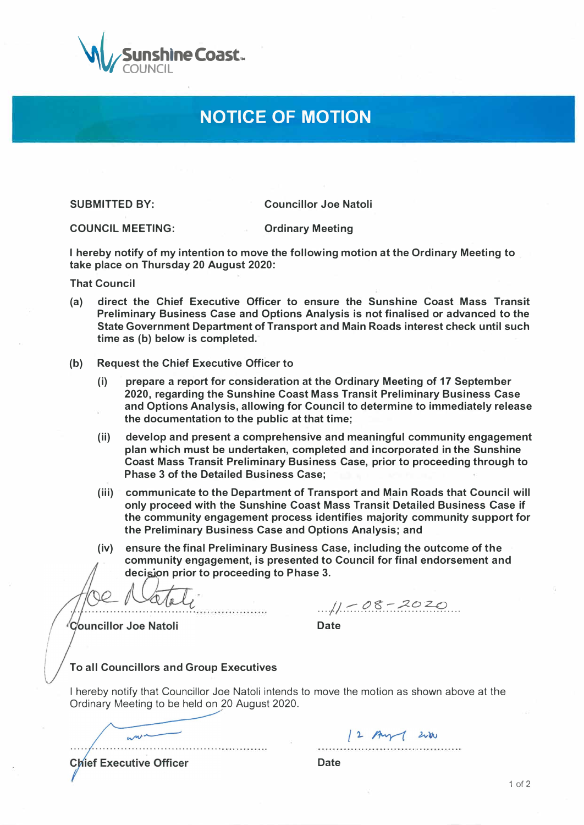

## **NOTICE OF MOTION**

**SUBMITTED BY:** 

**Councillor Joe Natoli** 

**COUNCIL MEETING: Ordinary Meeting** 

**I hereby notify of my intention to move the following motion at the Ordinary Meeting to take place on Thursday 20 August 2020:** 

**That Council** 

- **(a) direct the Chief Executive Officer to ensure the Sunshine Coast .Mass Transit Preliminary Business Case and Options Analysis is not finalised or advanced to the State Government Department of Transport and Main Roads interest check until such time as (b) below is completed.**
- **(b) Request the Chief Executive Officer to**
	- **(i) prepare a report for consideration at the Ordinary Meeting of 17 September 2020, regarding the Sunshine Coast Mass Transit Preliminary Business Case and Options Analysis, allowing for Council to determine to immediately release the documentation to the public at that time;**
	- **(ii) develop and present a comprehensive and meaningful community engagement plan which must be undertaken, completed and incorporated in the Sunshine Coast Mass Transit Preliminary Business Case, prior to proceeding through to Phase 3 of the Detailed Business Case;**
	- **(iii) communicate to the Department of Transport and Main Roads that Council will only proceed with the Sunshine Coast Mass Transit Detailed Business Case if the community engagement process identifies majority community support for the Preliminary Business Case and Options Analysis; and**
	- **(iv) ensure the final Preliminary Business Case, including the outcome of the community engagement, is presented to Council for final endorsement and**  decision prior to proceeding to Phase 3.

*∛*C⁄ouncillor Joe Natoli

 $1/1 -08 - 2020$ 

12 Aug 200

**Date** 

## **To all Councillors and Group Executives**

**I hereby notify that Councillor Joe Natoli intends to move the motion as shown above at the Ordinary Meeting to be held on 20 August 2020.** 

. . . . . . . . . . . . .

**Chief Executive Officer** 

 $mu^*$ 

**Date**